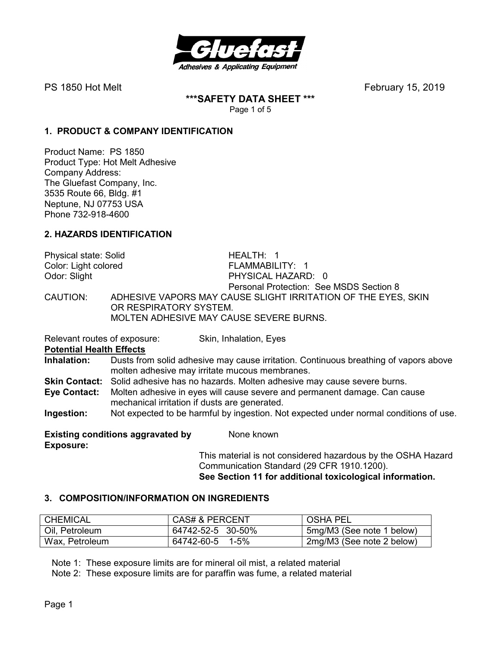

PS 1850 Hot MeltFebruary 15, 2019

**\*\*\*SAFETY DATA SHEET \*\*\***  Page 1 of 5

## **1. PRODUCT & COMPANY IDENTIFICATION**

Product Name: PS 1850 Product Type: Hot Melt Adhesive Company Address: The Gluefast Company, Inc. 3535 Route 66, Bldg. #1 Neptune, NJ 07753 USA Phone 732-918-4600

## **2. HAZARDS IDENTIFICATION**

Physical state: Solid HEALTH: 1 Color: Light colored FLAMMABILITY: 1 Odor: Slight PHYSICAL HAZARD: 0 Personal Protection: See MSDS Section 8<br>CAUTION: ADHESIVE VAPORS MAY CAUSE SLIGHT IRRITATION OF THE EYES ADHESIVE VAPORS MAY CAUSE SLIGHT IRRITATION OF THE EYES, SKIN OR RESPIRATORY SYSTEM. MOLTEN ADHESIVE MAY CAUSE SEVERE BURNS.

Relevant routes of exposure: Skin, Inhalation, Eyes

**Potential Health Effects** 

**Inhalation:** Dusts from solid adhesive may cause irritation. Continuous breathing of vapors above molten adhesive may irritate mucous membranes.

**Skin Contact:** Solid adhesive has no hazards. Molten adhesive may cause severe burns.

**Eye Contact:** Molten adhesive in eyes will cause severe and permanent damage. Can cause mechanical irritation if dusts are generated.

**Ingestion:** Not expected to be harmful by ingestion. Not expected under normal conditions of use.

**Existing conditions aggravated by Some known Exposure:** 

This material is not considered hazardous by the OSHA Hazard Communication Standard (29 CFR 1910.1200). **See Section 11 for additional toxicological information.** 

### **3. COMPOSITION/INFORMATION ON INGREDIENTS**

| CHEMICAL       | <b>CAS# &amp; PERCENT</b> | <b>OSHA PEL</b>           |
|----------------|---------------------------|---------------------------|
| Oil, Petroleum | 64742-52-5 30-50%         | 5mg/M3 (See note 1 below) |
| Wax, Petroleum | 64742-60-5 1-5%           | 2mg/M3 (See note 2 below) |

Note 1: These exposure limits are for mineral oil mist, a related material

Note 2: These exposure limits are for paraffin was fume, a related material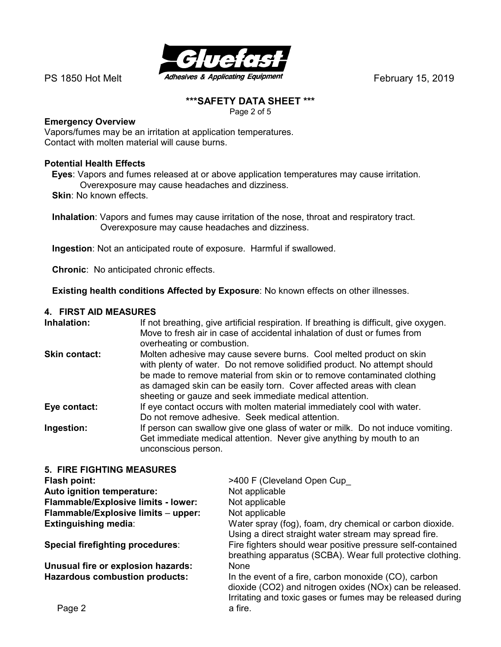

## **\*\*\*SAFETY DATA SHEET \*\*\***

Page 2 of 5

## **Emergency Overview**

Vapors/fumes may be an irritation at application temperatures. Contact with molten material will cause burns.

## **Potential Health Effects**

**Eyes**: Vapors and fumes released at or above application temperatures may cause irritation. Overexposure may cause headaches and dizziness.

**Skin: No known effects.** 

 **Inhalation**: Vapors and fumes may cause irritation of the nose, throat and respiratory tract. Overexposure may cause headaches and dizziness.

**Ingestion**: Not an anticipated route of exposure. Harmful if swallowed.

**Chronic**: No anticipated chronic effects.

**Existing health conditions Affected by Exposure**: No known effects on other illnesses.

### **4. FIRST AID MEASURES**

| Inhalation:                      | If not breathing, give artificial respiration. If breathing is difficult, give oxygen.<br>Move to fresh air in case of accidental inhalation of dust or fumes from<br>overheating or combustion.                                                                                                                                                              |
|----------------------------------|---------------------------------------------------------------------------------------------------------------------------------------------------------------------------------------------------------------------------------------------------------------------------------------------------------------------------------------------------------------|
| <b>Skin contact:</b>             | Molten adhesive may cause severe burns. Cool melted product on skin<br>with plenty of water. Do not remove solidified product. No attempt should<br>be made to remove material from skin or to remove contaminated clothing<br>as damaged skin can be easily torn. Cover affected areas with clean<br>sheeting or gauze and seek immediate medical attention. |
| Eye contact:                     | If eye contact occurs with molten material immediately cool with water.<br>Do not remove adhesive. Seek medical attention.                                                                                                                                                                                                                                    |
| Ingestion:                       | If person can swallow give one glass of water or milk. Do not induce vomiting.<br>Get immediate medical attention. Never give anything by mouth to an<br>unconscious person.                                                                                                                                                                                  |
| <b>5. FIRE FIGHTING MEASURES</b> |                                                                                                                                                                                                                                                                                                                                                               |

| Flash point:                          | >400 F (Cleveland Open Cup                                                                                                                                                     |
|---------------------------------------|--------------------------------------------------------------------------------------------------------------------------------------------------------------------------------|
| Auto ignition temperature:            | Not applicable                                                                                                                                                                 |
| Flammable/Explosive limits - lower:   | Not applicable                                                                                                                                                                 |
| Flammable/Explosive limits - upper:   | Not applicable                                                                                                                                                                 |
| <b>Extinguishing media:</b>           | Water spray (fog), foam, dry chemical or carbon dioxide.<br>Using a direct straight water stream may spread fire.                                                              |
| Special firefighting procedures:      | Fire fighters should wear positive pressure self-contained<br>breathing apparatus (SCBA). Wear full protective clothing.                                                       |
| Unusual fire or explosion hazards:    | <b>None</b>                                                                                                                                                                    |
| <b>Hazardous combustion products:</b> | In the event of a fire, carbon monoxide (CO), carbon<br>dioxide (CO2) and nitrogen oxides (NOx) can be released.<br>Irritating and toxic gases or fumes may be released during |
| Page 2                                | a fire.                                                                                                                                                                        |
|                                       |                                                                                                                                                                                |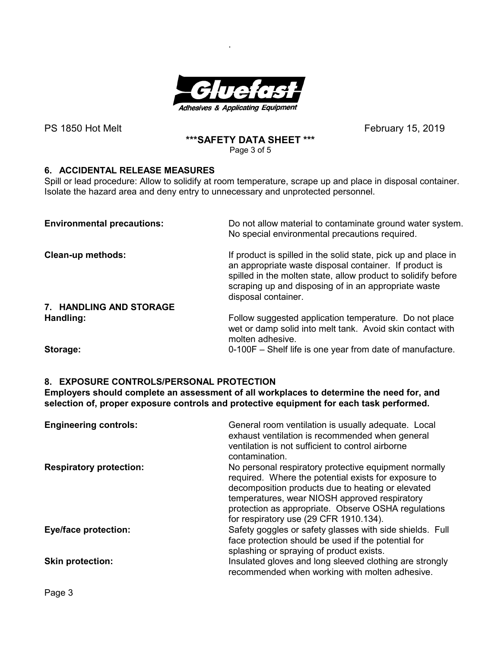

.

PS 1850 Hot Melt
February 15, 2019

# **\*\*\*SAFETY DATA SHEET \*\*\***

Page 3 of 5

## **6. ACCIDENTAL RELEASE MEASURES**

Spill or lead procedure: Allow to solidify at room temperature, scrape up and place in disposal container. Isolate the hazard area and deny entry to unnecessary and unprotected personnel.

| <b>Environmental precautions:</b> | Do not allow material to contaminate ground water system.<br>No special environmental precautions required.                                                                                                                                                              |
|-----------------------------------|--------------------------------------------------------------------------------------------------------------------------------------------------------------------------------------------------------------------------------------------------------------------------|
| <b>Clean-up methods:</b>          | If product is spilled in the solid state, pick up and place in<br>an appropriate waste disposal container. If product is<br>spilled in the molten state, allow product to solidify before<br>scraping up and disposing of in an appropriate waste<br>disposal container. |
| 7. HANDLING AND STORAGE           |                                                                                                                                                                                                                                                                          |
| Handling:                         | Follow suggested application temperature. Do not place<br>wet or damp solid into melt tank. Avoid skin contact with<br>molten adhesive.                                                                                                                                  |
| Storago <sup>.</sup>              | 0.100E Shelf life is one year from date of manufacture                                                                                                                                                                                                                   |

**Storage:** 0-100F – Shelf life is one year from date of manufacture.

## **8. EXPOSURE CONTROLS/PERSONAL PROTECTION**

**Employers should complete an assessment of all workplaces to determine the need for, and selection of, proper exposure controls and protective equipment for each task performed.** 

| <b>Engineering controls:</b>   | General room ventilation is usually adequate. Local<br>exhaust ventilation is recommended when general<br>ventilation is not sufficient to control airborne<br>contamination.                                                                                                                                        |
|--------------------------------|----------------------------------------------------------------------------------------------------------------------------------------------------------------------------------------------------------------------------------------------------------------------------------------------------------------------|
| <b>Respiratory protection:</b> | No personal respiratory protective equipment normally<br>required. Where the potential exists for exposure to<br>decomposition products due to heating or elevated<br>temperatures, wear NIOSH approved respiratory<br>protection as appropriate. Observe OSHA regulations<br>for respiratory use (29 CFR 1910.134). |
| <b>Eye/face protection:</b>    | Safety goggles or safety glasses with side shields. Full<br>face protection should be used if the potential for<br>splashing or spraying of product exists.                                                                                                                                                          |
| <b>Skin protection:</b>        | Insulated gloves and long sleeved clothing are strongly<br>recommended when working with molten adhesive.                                                                                                                                                                                                            |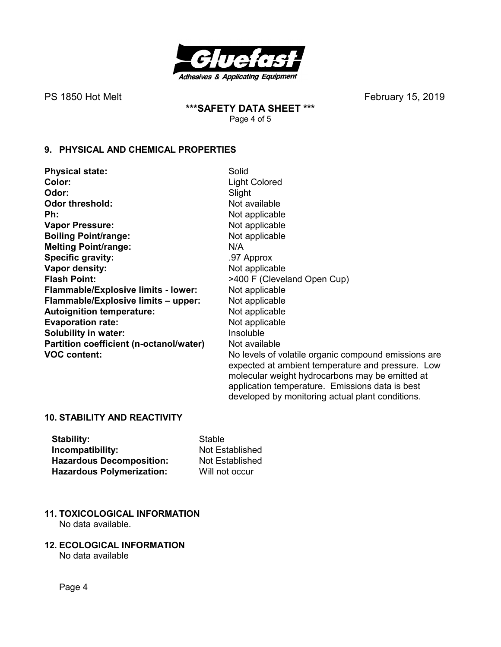

PS 1850 Hot MeltFebruary 15, 2019

**\*\*\*SAFETY DATA SHEET \*\*\***  Page 4 of 5

## **9. PHYSICAL AND CHEMICAL PROPERTIES**

| <b>Physical state:</b>                     | Solid                                                                                                |
|--------------------------------------------|------------------------------------------------------------------------------------------------------|
| Color:                                     | <b>Light Colored</b>                                                                                 |
| Odor:                                      | Slight                                                                                               |
| <b>Odor threshold:</b>                     | Not available                                                                                        |
| Ph:                                        | Not applicable                                                                                       |
| <b>Vapor Pressure:</b>                     | Not applicable                                                                                       |
| <b>Boiling Point/range:</b>                | Not applicable                                                                                       |
| <b>Melting Point/range:</b>                | N/A                                                                                                  |
| Specific gravity:                          | .97 Approx                                                                                           |
| Vapor density:                             | Not applicable                                                                                       |
| <b>Flash Point:</b>                        | >400 F (Cleveland Open Cup)                                                                          |
| <b>Flammable/Explosive limits - lower:</b> | Not applicable                                                                                       |
| Flammable/Explosive limits - upper:        | Not applicable                                                                                       |
| <b>Autoignition temperature:</b>           | Not applicable                                                                                       |
| <b>Evaporation rate:</b>                   | Not applicable                                                                                       |
| <b>Solubility in water:</b>                | Insoluble                                                                                            |
| Partition coefficient (n-octanol/water)    | Not available                                                                                        |
| <b>VOC content:</b>                        | No levels of volatile organic compound emissions are                                                 |
|                                            | expected at ambient temperature and pressure. Low<br>molecular weight hydrocarbons may be emitted at |

application temperature. Emissions data is best developed by monitoring actual plant conditions.

### **10. STABILITY AND REACTIVITY**

| Stability:                       | Stable  |
|----------------------------------|---------|
| Incompatibility:                 | Not Es  |
| <b>Hazardous Decomposition:</b>  | Not Es  |
| <b>Hazardous Polymerization:</b> | Will no |

- **I**stablished stablished bt occur
- **11. TOXICOLOGICAL INFORMATION**  No data available.
- **12. ECOLOGICAL INFORMATION**

No data available